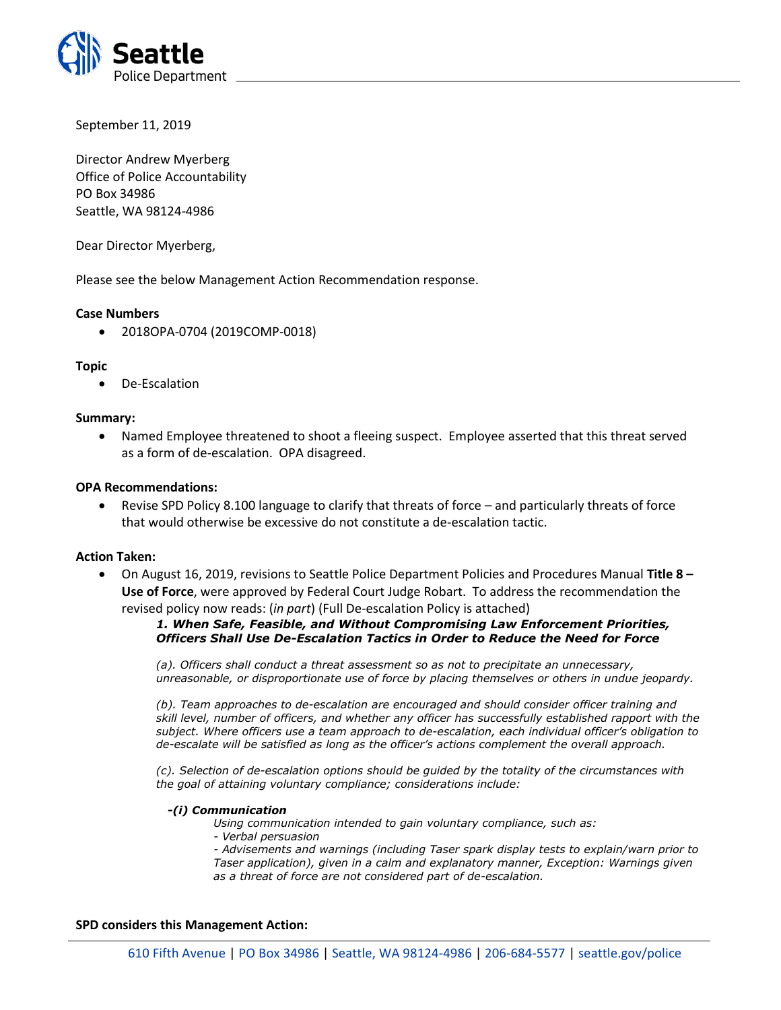

September 11, 2019

Director Andrew Myerberg Office of Police Accountability PO Box 34986 Seattle, WA 98124-4986

Dear Director Myerberg,

Please see the below Management Action Recommendation response.

# **Case Numbers**

• 2018OPA-0704 (2019COMP-0018)

# **Topic**

• De-Escalation

### **Summary:**

• Named Employee threatened to shoot a fleeing suspect. Employee asserted that this threat served as a form of de-escalation. OPA disagreed.

# **OPA Recommendations:**

• Revise SPD Policy 8.100 language to clarify that threats of force – and particularly threats of force that would otherwise be excessive do not constitute a de-escalation tactic.

### **Action Taken:**

• On August 16, 2019, revisions to Seattle Police Department Policies and Procedures Manual **Title 8 – Use of Force**, were approved by Federal Court Judge Robart. To address the recommendation the revised policy now reads: (*in part*) (Full De-escalation Policy is attached)

# *1. When Safe, Feasible, and Without Compromising Law Enforcement Priorities, Officers Shall Use De-Escalation Tactics in Order to Reduce the Need for Force*

*(a). Officers shall conduct a threat assessment so as not to precipitate an unnecessary, unreasonable, or disproportionate use of force by placing themselves or others in undue jeopardy.* 

*(b). Team approaches to de-escalation are encouraged and should consider officer training and skill level, number of officers, and whether any officer has successfully established rapport with the subject. Where officers use a team approach to de-escalation, each individual officer's obligation to de-escalate will be satisfied as long as the officer's actions complement the overall approach.* 

*(c). Selection of de-escalation options should be guided by the totality of the circumstances with the goal of attaining voluntary compliance; considerations include:* 

#### *-(i) Communication*

*Using communication intended to gain voluntary compliance, such as:* 

*- Verbal persuasion* 

*- Advisements and warnings (including Taser spark display tests to explain/warn prior to Taser application), given in a calm and explanatory manner, Exception: Warnings given as a threat of force are not considered part of de-escalation.* 

### **SPD considers this Management Action:**